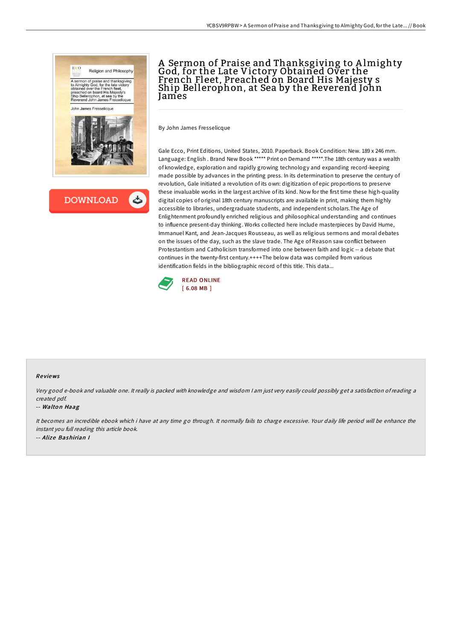



# A Sermon of Praise and Thanksgiving to Almighty<br>God, for the Late Victory Obtained Over the French Fleet, Preached on Board His Majesty s Ship Bellerophon, at Sea by the Reverend John James

By John James Fresselicque

Gale Ecco, Print Editions, United States, 2010. Paperback. Book Condition: New. 189 x 246 mm. Language: English . Brand New Book \*\*\*\*\* Print on Demand \*\*\*\*\*.The 18th century was a wealth of knowledge, exploration and rapidly growing technology and expanding record-keeping made possible by advances in the printing press. In its determination to preserve the century of revolution, Gale initiated a revolution of its own: digitization of epic proportions to preserve these invaluable works in the largest archive of its kind. Now for the first time these high-quality digital copies of original 18th century manuscripts are available in print, making them highly accessible to libraries, undergraduate students, and independent scholars.The Age of Enlightenment profoundly enriched religious and philosophical understanding and continues to influence present-day thinking. Works collected here include masterpieces by David Hume, Immanuel Kant, and Jean-Jacques Rousseau, as well as religious sermons and moral debates on the issues of the day, such as the slave trade. The Age of Reason saw conflict between Protestantism and Catholicism transformed into one between faith and logic -- a debate that continues in the twenty-first century.++++The below data was compiled from various identification fields in the bibliographic record of this title. This data...



#### Re views

Very good e-book and valuable one. It really is packed with knowledge and wisdom <sup>I</sup> am just very easily could possibly get <sup>a</sup> satisfaction ofreading <sup>a</sup> created pdf.

#### -- Walton Haag

It becomes an incredible ebook which i have at any time go through. It normally fails to charge excessive. Your daily life period will be enhance the instant you full reading this article book. -- Alize Bashirian I